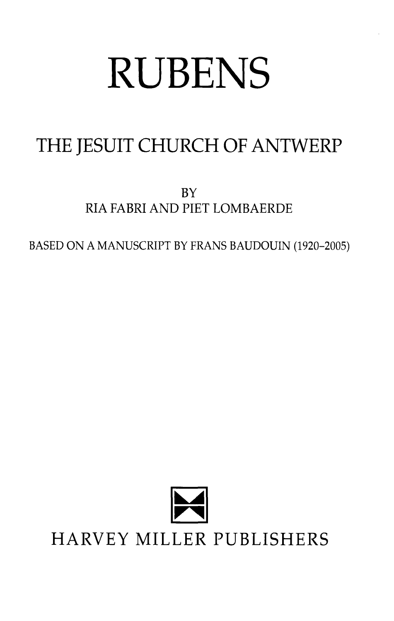## **RUBENS**

## THE JESUIT CHURCH OF ANTWERP

BY RIA FABRI AND PIET LOMBAERDE

BASED ON A MANUSCRIPT BY FRANS BAUDOUIN (1920-2005)

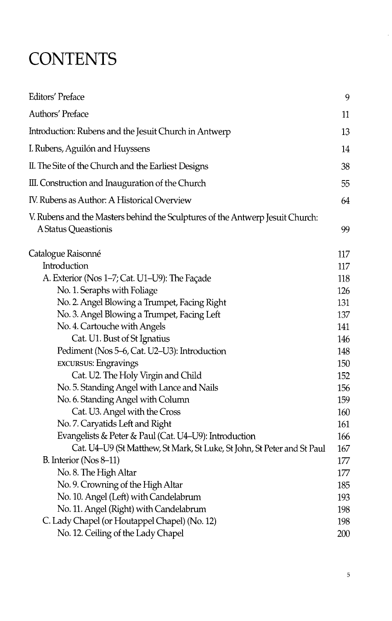## **CONTENTS**

| <b>Editors' Preface</b>                                                                               | 9   |
|-------------------------------------------------------------------------------------------------------|-----|
| Authors' Preface                                                                                      | 11  |
| Introduction: Rubens and the Jesuit Church in Antwerp                                                 | 13  |
| I. Rubens, Aguilón and Huyssens                                                                       | 14  |
| II. The Site of the Church and the Earliest Designs                                                   | 38  |
| III. Construction and Inauguration of the Church                                                      | 55. |
| IV. Rubens as Author: A Historical Overview                                                           | 64  |
| V. Rubens and the Masters behind the Sculptures of the Antwerp Jesuit Church:<br>A Status Queastionis | 99  |
| Catalogue Raisonné                                                                                    | 117 |
| Introduction                                                                                          | 117 |
| A. Exterior (Nos 1-7; Cat. U1-U9): The Façade                                                         | 118 |
| No. 1. Seraphs with Foliage                                                                           | 126 |
| No. 2. Angel Blowing a Trumpet, Facing Right                                                          | 131 |
| No. 3. Angel Blowing a Trumpet, Facing Left                                                           | 137 |
| No. 4. Cartouche with Angels                                                                          | 141 |
| Cat. U1. Bust of St Ignatius                                                                          | 146 |
| Pediment (Nos 5–6, Cat. U2–U3): Introduction                                                          | 148 |
| <b>EXCURSUS: Engravings</b>                                                                           | 150 |
| Cat. U2. The Holy Virgin and Child                                                                    | 152 |
| No. 5. Standing Angel with Lance and Nails                                                            | 156 |
| No. 6. Standing Angel with Column                                                                     | 159 |
| Cat. U3. Angel with the Cross                                                                         | 160 |
| No. 7. Caryatids Left and Right                                                                       | 161 |
| Evangelists & Peter & Paul (Cat. U4–U9): Introduction                                                 | 166 |
| Cat. U4-U9 (St Matthew, St Mark, St Luke, St John, St Peter and St Paul                               | 167 |
| B. Interior ( $Nos 8-11$ )                                                                            | 177 |
| No. 8. The High Altar                                                                                 | 177 |
| No. 9. Crowning of the High Altar                                                                     | 185 |
| No. 10. Angel (Left) with Candelabrum                                                                 | 193 |
| No. 11. Angel (Right) with Candelabrum                                                                | 198 |
| C. Lady Chapel (or Houtappel Chapel) (No. 12)                                                         | 198 |
| No. 12. Ceiling of the Lady Chapel                                                                    | 200 |